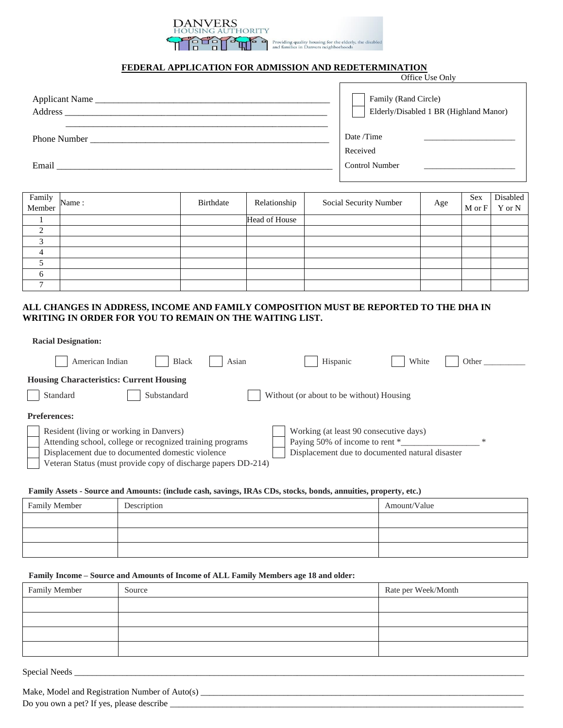# **FEDERAL APPLICATION FOR ADMISSION AND REDETERMINATION**

Providing quality housing for the elderly, the disabled<br>and families in Danvers neighborhoods

**THORITY**  $\mathbb{Z}$ 

DANVERS

|                                                                                                                                                                                                                                                  | Office Use Only                                                |  |  |
|--------------------------------------------------------------------------------------------------------------------------------------------------------------------------------------------------------------------------------------------------|----------------------------------------------------------------|--|--|
| Applicant Name<br>Address and the state of the state of the state of the state of the state of the state of the state of the state of the state of the state of the state of the state of the state of the state of the state of the state of th | Family (Rand Circle)<br>Elderly/Disabled 1 BR (Highland Manor) |  |  |
| <b>Phone Number</b>                                                                                                                                                                                                                              | Date /Time                                                     |  |  |
|                                                                                                                                                                                                                                                  | Received                                                       |  |  |
| Email                                                                                                                                                                                                                                            | <b>Control Number</b>                                          |  |  |

| Family<br>Member Name: | Birthdate | Relationship  | Social Security Number | Age | Sex<br>M or F | Disabled<br>Y or N |
|------------------------|-----------|---------------|------------------------|-----|---------------|--------------------|
|                        |           | Head of House |                        |     |               |                    |
| $\sim$                 |           |               |                        |     |               |                    |
|                        |           |               |                        |     |               |                    |
| $\Delta$               |           |               |                        |     |               |                    |
|                        |           |               |                        |     |               |                    |
| h                      |           |               |                        |     |               |                    |
|                        |           |               |                        |     |               |                    |

# **ALL CHANGES IN ADDRESS, INCOME AND FAMILY COMPOSITION MUST BE REPORTED TO THE DHA IN WRITING IN ORDER FOR YOU TO REMAIN ON THE WAITING LIST.**

| American Indian<br><b>Black</b>                                                                                                                                                                                                                  | Asian | Hispanic                                                                                                                    | White | Other  |
|--------------------------------------------------------------------------------------------------------------------------------------------------------------------------------------------------------------------------------------------------|-------|-----------------------------------------------------------------------------------------------------------------------------|-------|--------|
| <b>Housing Characteristics: Current Housing</b><br>Substandard<br>Standard                                                                                                                                                                       |       | Without (or about to be without) Housing                                                                                    |       |        |
| <b>Preferences:</b><br>Resident (living or working in Danvers)<br>Attending school, college or recognized training programs<br>Displacement due to documented domestic violence<br>Veteran Status (must provide copy of discharge papers DD-214) |       | Working (at least 90 consecutive days)<br>Paying 50% of income to rent *<br>Displacement due to documented natural disaster |       | $\ast$ |

#### **Family Assets - Source and Amounts: (include cash, savings, IRAs CDs, stocks, bonds, annuities, property, etc.)**

| Family Member | Description | Amount/Value |
|---------------|-------------|--------------|
|               |             |              |
|               |             |              |
|               |             |              |
|               |             |              |

## **Family Income – Source and Amounts of Income of ALL Family Members age 18 and older:**

| Family Member | Source | Rate per Week/Month |
|---------------|--------|---------------------|
|               |        |                     |
|               |        |                     |
|               |        |                     |
|               |        |                     |

Special Needs \_\_\_\_\_\_\_\_\_\_\_\_\_\_\_\_\_\_\_\_\_\_\_\_\_\_\_\_\_\_\_\_\_\_\_\_\_\_\_\_\_\_\_\_\_\_\_\_\_\_\_\_\_\_\_\_\_\_\_\_\_\_\_\_\_\_\_\_\_\_\_\_\_\_\_\_\_\_\_\_\_\_\_\_\_\_\_\_\_\_\_\_\_\_\_\_\_\_\_\_\_\_\_

Make, Model and Registration Number of Auto(s) \_\_\_\_\_\_\_\_\_\_\_\_\_\_\_\_\_\_\_\_\_\_\_\_\_\_\_\_\_\_\_\_\_\_\_\_\_\_\_\_\_\_\_\_\_\_\_\_\_\_\_\_\_\_\_\_\_\_\_\_\_\_\_\_\_\_\_\_\_\_\_\_\_\_

Do you own a pet? If yes, please describe \_\_\_\_\_\_\_\_\_\_\_\_\_\_\_\_\_\_\_\_\_\_\_\_\_\_\_\_\_\_\_\_\_\_\_\_\_\_\_\_\_\_\_\_\_\_\_\_\_\_\_\_\_\_\_\_\_\_\_\_\_\_\_\_\_\_\_\_\_\_\_\_\_\_\_\_\_\_\_\_\_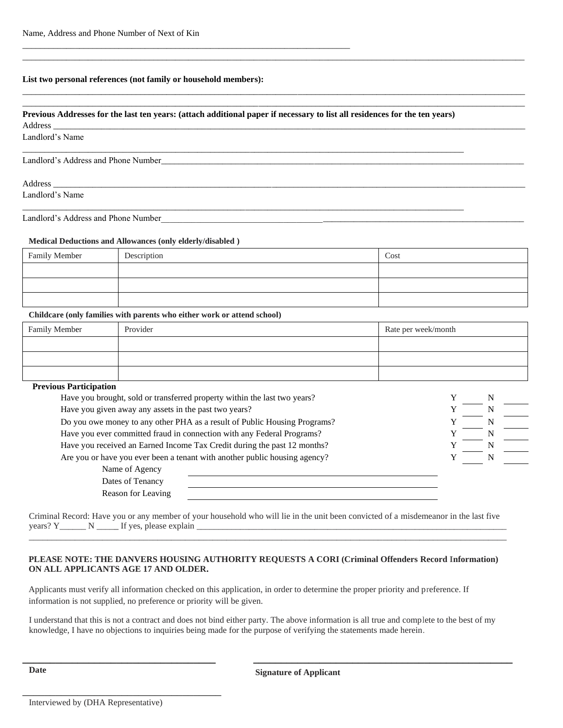### **List two personal references (not family or household members):**

\_\_\_\_\_\_\_\_\_\_\_\_\_\_\_\_\_\_\_\_\_\_\_\_\_\_\_\_\_\_\_\_\_\_\_\_\_\_\_\_\_\_\_\_\_\_\_\_\_\_\_\_\_\_\_\_\_\_\_\_\_\_\_\_\_\_\_\_\_\_\_\_\_\_\_

#### **Previous Addresses for the last ten years: (attach additional paper if necessary to list all residences for the ten years)**

 $\rm{Address}\_\_$ 

Landlord's Name

Landlord's Address and Phone Number

 $\rm{Address}\_\_$ Landlord's Name \_\_\_\_\_\_\_\_\_\_\_\_\_\_\_\_\_\_\_\_\_\_\_\_\_\_\_\_\_\_\_\_\_\_\_\_\_\_\_\_\_\_\_\_\_\_\_\_\_\_\_\_\_\_\_\_\_\_\_\_\_\_\_\_\_\_\_\_\_\_\_\_\_\_\_\_\_\_\_\_\_\_\_\_\_\_\_\_\_\_\_\_\_\_\_\_\_\_\_\_\_

\_\_\_\_\_\_\_\_\_\_\_\_\_\_\_\_\_\_\_\_\_\_\_\_\_\_\_\_\_\_\_\_\_\_\_\_\_\_\_\_\_\_\_\_\_\_\_\_\_\_\_\_\_\_\_\_\_\_\_\_\_\_\_\_\_\_\_\_\_\_\_\_\_\_\_\_\_\_\_\_\_\_\_\_\_\_\_\_\_\_\_\_\_\_\_\_\_\_\_\_\_

Landlord's Address and Phone Number

### **Medical Deductions and Allowances (only elderly/disabled )**

| Family Member | Description | Cost |
|---------------|-------------|------|
|               |             |      |
|               |             |      |
|               |             |      |

\_\_\_\_\_\_\_\_\_\_\_\_\_\_\_\_\_\_\_\_\_\_\_\_\_\_\_\_\_\_\_\_\_\_\_\_\_\_\_\_\_\_\_\_\_\_\_\_\_\_\_\_\_\_\_\_\_\_\_\_\_\_\_\_\_\_\_\_\_\_\_\_\_\_\_\_\_\_\_\_\_\_\_\_\_\_\_\_\_\_\_\_\_\_\_\_\_\_\_\_\_\_\_\_\_\_\_\_\_\_\_\_\_\_\_

\_\_\_\_\_\_\_\_\_\_\_\_\_\_\_\_\_\_\_\_\_\_\_\_\_\_\_\_\_\_\_\_\_\_\_\_\_\_\_\_\_\_\_\_\_\_\_\_\_\_\_\_\_\_\_\_\_\_\_\_\_\_\_\_\_\_\_\_\_\_\_\_\_\_\_\_\_\_\_\_\_\_\_\_\_\_\_\_\_\_\_\_\_\_\_\_\_\_\_\_\_\_\_\_\_\_\_\_\_\_\_\_\_\_\_ \_\_\_\_\_\_\_\_\_\_\_\_\_\_\_\_\_\_\_\_\_\_\_\_\_\_\_\_\_\_\_\_\_\_\_\_\_\_\_\_\_\_\_\_\_\_\_\_\_\_\_\_\_\_\_\_\_\_\_\_\_\_\_\_\_\_\_\_\_\_\_\_\_\_\_\_\_\_\_\_\_\_\_\_\_\_\_\_\_\_\_\_\_\_\_\_\_\_\_\_\_\_\_\_\_\_\_\_\_\_\_\_\_\_\_

#### **Childcare (only families with parents who either work or attend school)**

| Family Member | Provider | Rate per week/month |
|---------------|----------|---------------------|
|               |          |                     |
|               |          |                     |
|               |          |                     |

# **Previous Participation**

| Have you brought, sold or transferred property within the last two years?  |  |   |  |
|----------------------------------------------------------------------------|--|---|--|
| Have you given away any assets in the past two years?                      |  | N |  |
| Do you owe money to any other PHA as a result of Public Housing Programs?  |  |   |  |
| Have you ever committed fraud in connection with any Federal Programs?     |  |   |  |
| Have you received an Earned Income Tax Credit during the past 12 months?   |  |   |  |
| Are you or have you ever been a tenant with another public housing agency? |  | N |  |
| Name of Agency                                                             |  |   |  |
| Dates of Tenancy                                                           |  |   |  |
| Reason for Leaving                                                         |  |   |  |

Criminal Record: Have you or any member of your household who will lie in the unit been convicted of a misdemeanor in the last five years? Y\_\_\_\_\_\_ N \_\_\_\_\_ If yes, please explain \_\_\_\_\_\_\_\_\_\_\_\_\_\_\_\_\_\_\_\_\_\_\_\_\_\_\_\_\_\_\_\_\_\_\_\_\_\_\_\_\_\_\_\_\_\_\_\_\_\_\_\_\_\_\_\_\_\_\_\_\_\_\_\_\_\_\_\_\_\_\_ \_\_\_\_\_\_\_\_\_\_\_\_\_\_\_\_\_\_\_\_\_\_\_\_\_\_\_\_\_\_\_\_\_\_\_\_\_\_\_\_\_\_\_\_\_\_\_\_\_\_\_\_\_\_\_\_\_\_\_\_\_\_\_\_\_\_\_\_\_\_\_\_\_\_\_\_\_\_\_\_\_\_\_\_\_\_\_\_\_\_\_\_\_\_\_\_\_\_\_\_\_\_\_\_

# **PLEASE NOTE: THE DANVERS HOUSING AUTHORITY REQUESTS A CORI (Criminal Offenders Record Information) ON ALL APPLICANTS AGE 17 AND OLDER.**

Applicants must verify all information checked on this application, in order to determine the proper priority and preference. If information is not supplied, no preference or priority will be given.

I understand that this is not a contract and does not bind either party. The above information is all true and complete to the best of my knowledge, I have no objections to inquiries being made for the purpose of verifying the statements made herein.

**\_\_\_\_\_\_\_\_\_\_\_\_\_\_\_\_\_\_\_\_\_\_\_\_\_\_\_\_\_\_\_\_\_\_\_ \_\_\_\_\_\_\_\_\_\_\_\_\_\_\_\_\_\_\_\_\_\_\_\_\_\_\_\_\_\_\_\_\_\_\_\_\_\_\_\_\_\_\_\_\_\_\_** 

\_\_\_\_\_\_\_\_\_\_\_\_\_\_\_\_\_\_\_\_\_\_\_\_\_\_\_\_\_\_\_\_\_\_\_\_